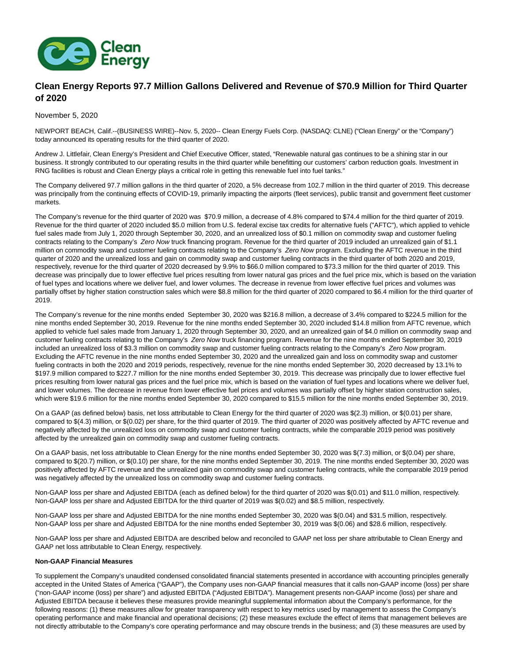

# **Clean Energy Reports 97.7 Million Gallons Delivered and Revenue of \$70.9 Million for Third Quarter of 2020**

November 5, 2020

NEWPORT BEACH, Calif.--(BUSINESS WIRE)--Nov. 5, 2020-- Clean Energy Fuels Corp. (NASDAQ: CLNE) ("Clean Energy" or the "Company") today announced its operating results for the third quarter of 2020.

Andrew J. Littlefair, Clean Energy's President and Chief Executive Officer, stated, "Renewable natural gas continues to be a shining star in our business. It strongly contributed to our operating results in the third quarter while benefitting our customers' carbon reduction goals. Investment in RNG facilities is robust and Clean Energy plays a critical role in getting this renewable fuel into fuel tanks."

The Company delivered 97.7 million gallons in the third quarter of 2020, a 5% decrease from 102.7 million in the third quarter of 2019. This decrease was principally from the continuing effects of COVID-19, primarily impacting the airports (fleet services), public transit and government fleet customer markets.

The Company's revenue for the third quarter of 2020 was \$70.9 million, a decrease of 4.8% compared to \$74.4 million for the third quarter of 2019. Revenue for the third quarter of 2020 included \$5.0 million from U.S. federal excise tax credits for alternative fuels ("AFTC"), which applied to vehicle fuel sales made from July 1, 2020 through September 30, 2020, and an unrealized loss of \$0.1 million on commodity swap and customer fueling contracts relating to the Company's Zero Now truck financing program. Revenue for the third quarter of 2019 included an unrealized gain of \$1.1 million on commodity swap and customer fueling contracts relating to the Company's Zero Now program. Excluding the AFTC revenue in the third quarter of 2020 and the unrealized loss and gain on commodity swap and customer fueling contracts in the third quarter of both 2020 and 2019, respectively, revenue for the third quarter of 2020 decreased by 9.9% to \$66.0 million compared to \$73.3 million for the third quarter of 2019. This decrease was principally due to lower effective fuel prices resulting from lower natural gas prices and the fuel price mix, which is based on the variation of fuel types and locations where we deliver fuel, and lower volumes. The decrease in revenue from lower effective fuel prices and volumes was partially offset by higher station construction sales which were \$8.8 million for the third quarter of 2020 compared to \$6.4 million for the third quarter of 2019.

The Company's revenue for the nine months ended September 30, 2020 was \$216.8 million, a decrease of 3.4% compared to \$224.5 million for the nine months ended September 30, 2019. Revenue for the nine months ended September 30, 2020 included \$14.8 million from AFTC revenue, which applied to vehicle fuel sales made from January 1, 2020 through September 30, 2020, and an unrealized gain of \$4.0 million on commodity swap and customer fueling contracts relating to the Company's Zero Now truck financing program. Revenue for the nine months ended September 30, 2019 included an unrealized loss of \$3.3 million on commodity swap and customer fueling contracts relating to the Company's Zero Now program. Excluding the AFTC revenue in the nine months ended September 30, 2020 and the unrealized gain and loss on commodity swap and customer fueling contracts in both the 2020 and 2019 periods, respectively, revenue for the nine months ended September 30, 2020 decreased by 13.1% to \$197.9 million compared to \$227.7 million for the nine months ended September 30, 2019. This decrease was principally due to lower effective fuel prices resulting from lower natural gas prices and the fuel price mix, which is based on the variation of fuel types and locations where we deliver fuel, and lower volumes. The decrease in revenue from lower effective fuel prices and volumes was partially offset by higher station construction sales, which were \$19.6 million for the nine months ended September 30, 2020 compared to \$15.5 million for the nine months ended September 30, 2019.

On a GAAP (as defined below) basis, net loss attributable to Clean Energy for the third quarter of 2020 was \$(2.3) million, or \$(0.01) per share, compared to \$(4.3) million, or \$(0.02) per share, for the third quarter of 2019. The third quarter of 2020 was positively affected by AFTC revenue and negatively affected by the unrealized loss on commodity swap and customer fueling contracts, while the comparable 2019 period was positively affected by the unrealized gain on commodity swap and customer fueling contracts.

On a GAAP basis, net loss attributable to Clean Energy for the nine months ended September 30, 2020 was \$(7.3) million, or \$(0.04) per share, compared to \$(20.7) million, or \$(0.10) per share, for the nine months ended September 30, 2019. The nine months ended September 30, 2020 was positively affected by AFTC revenue and the unrealized gain on commodity swap and customer fueling contracts, while the comparable 2019 period was negatively affected by the unrealized loss on commodity swap and customer fueling contracts.

Non-GAAP loss per share and Adjusted EBITDA (each as defined below) for the third quarter of 2020 was \$(0.01) and \$11.0 million, respectively. Non-GAAP loss per share and Adjusted EBITDA for the third quarter of 2019 was \$(0.02) and \$8.5 million, respectively.

Non-GAAP loss per share and Adjusted EBITDA for the nine months ended September 30, 2020 was \$(0.04) and \$31.5 million, respectively. Non-GAAP loss per share and Adjusted EBITDA for the nine months ended September 30, 2019 was \$(0.06) and \$28.6 million, respectively.

Non-GAAP loss per share and Adjusted EBITDA are described below and reconciled to GAAP net loss per share attributable to Clean Energy and GAAP net loss attributable to Clean Energy, respectively.

#### **Non-GAAP Financial Measures**

To supplement the Company's unaudited condensed consolidated financial statements presented in accordance with accounting principles generally accepted in the United States of America ("GAAP"), the Company uses non-GAAP financial measures that it calls non-GAAP income (loss) per share ("non-GAAP income (loss) per share") and adjusted EBITDA ("Adjusted EBITDA"). Management presents non-GAAP income (loss) per share and Adjusted EBITDA because it believes these measures provide meaningful supplemental information about the Company's performance, for the following reasons: (1) these measures allow for greater transparency with respect to key metrics used by management to assess the Company's operating performance and make financial and operational decisions; (2) these measures exclude the effect of items that management believes are not directly attributable to the Company's core operating performance and may obscure trends in the business; and (3) these measures are used by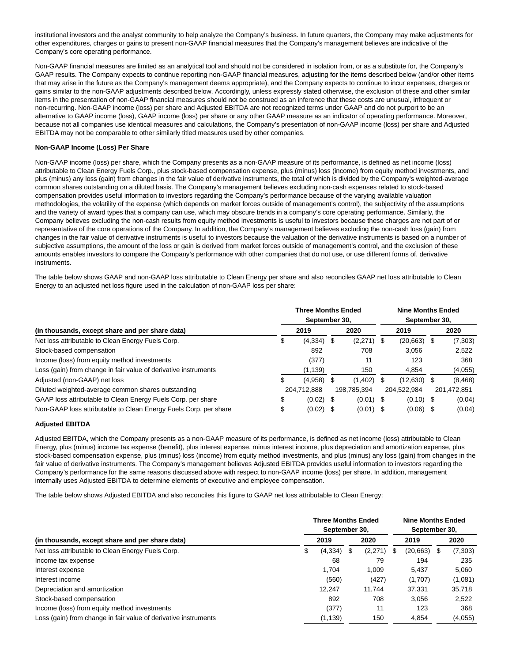institutional investors and the analyst community to help analyze the Company's business. In future quarters, the Company may make adjustments for other expenditures, charges or gains to present non-GAAP financial measures that the Company's management believes are indicative of the Company's core operating performance.

Non-GAAP financial measures are limited as an analytical tool and should not be considered in isolation from, or as a substitute for, the Company's GAAP results. The Company expects to continue reporting non-GAAP financial measures, adjusting for the items described below (and/or other items that may arise in the future as the Company's management deems appropriate), and the Company expects to continue to incur expenses, charges or gains similar to the non-GAAP adjustments described below. Accordingly, unless expressly stated otherwise, the exclusion of these and other similar items in the presentation of non-GAAP financial measures should not be construed as an inference that these costs are unusual, infrequent or non-recurring. Non-GAAP income (loss) per share and Adjusted EBITDA are not recognized terms under GAAP and do not purport to be an alternative to GAAP income (loss), GAAP income (loss) per share or any other GAAP measure as an indicator of operating performance. Moreover, because not all companies use identical measures and calculations, the Company's presentation of non-GAAP income (loss) per share and Adjusted EBITDA may not be comparable to other similarly titled measures used by other companies.

#### **Non-GAAP Income (Loss) Per Share**

Non-GAAP income (loss) per share, which the Company presents as a non-GAAP measure of its performance, is defined as net income (loss) attributable to Clean Energy Fuels Corp., plus stock-based compensation expense, plus (minus) loss (income) from equity method investments, and plus (minus) any loss (gain) from changes in the fair value of derivative instruments, the total of which is divided by the Company's weighted-average common shares outstanding on a diluted basis. The Company's management believes excluding non-cash expenses related to stock-based compensation provides useful information to investors regarding the Company's performance because of the varying available valuation methodologies, the volatility of the expense (which depends on market forces outside of management's control), the subjectivity of the assumptions and the variety of award types that a company can use, which may obscure trends in a company's core operating performance. Similarly, the Company believes excluding the non-cash results from equity method investments is useful to investors because these charges are not part of or representative of the core operations of the Company. In addition, the Company's management believes excluding the non-cash loss (gain) from changes in the fair value of derivative instruments is useful to investors because the valuation of the derivative instruments is based on a number of subjective assumptions, the amount of the loss or gain is derived from market forces outside of management's control, and the exclusion of these amounts enables investors to compare the Company's performance with other companies that do not use, or use different forms of, derivative instruments.

The table below shows GAAP and non-GAAP loss attributable to Clean Energy per share and also reconciles GAAP net loss attributable to Clean Energy to an adjusted net loss figure used in the calculation of non-GAAP loss per share:

| (in thousands, except share and per share data)                  |             | <b>Three Months Ended</b><br>September 30, |             |             |             |             | <b>Nine Months Ended</b><br>September 30, |          |  |  |
|------------------------------------------------------------------|-------------|--------------------------------------------|-------------|-------------|-------------|-------------|-------------------------------------------|----------|--|--|
|                                                                  |             | 2019                                       |             | 2020        |             | 2019        |                                           | 2020     |  |  |
| Net loss attributable to Clean Energy Fuels Corp.                | \$          | $(4,334)$ \$                               |             | (2,271)     | S           | (20, 663)   |                                           | (7,303)  |  |  |
| Stock-based compensation                                         |             | 892                                        |             | 708         |             | 3.056       |                                           | 2,522    |  |  |
| Income (loss) from equity method investments                     |             | (377)                                      |             | 11          |             | 123         |                                           | 368      |  |  |
| Loss (gain) from change in fair value of derivative instruments  |             | (1, 139)                                   |             | 150         |             | 4,854       |                                           | (4,055)  |  |  |
| Adjusted (non-GAAP) net loss                                     | S           | (4,958)                                    | - \$        | (1,402)     | S           | (12,630)    | - \$                                      | (8, 468) |  |  |
| Diluted weighted-average common shares outstanding               | 204,712,888 |                                            | 198,785,394 |             | 204,522,984 |             | 201,472,851                               |          |  |  |
| GAAP loss attributable to Clean Energy Fuels Corp. per share     | \$          | $(0.02)$ \$                                |             | $(0.01)$ \$ |             | $(0.10)$ \$ |                                           | (0.04)   |  |  |
| Non-GAAP loss attributable to Clean Energy Fuels Corp. per share | \$          | (0.02)                                     | - \$        | $(0.01)$ \$ |             | (0.06)      |                                           | (0.04)   |  |  |

#### **Adjusted EBITDA**

Adjusted EBITDA, which the Company presents as a non-GAAP measure of its performance, is defined as net income (loss) attributable to Clean Energy, plus (minus) income tax expense (benefit), plus interest expense, minus interest income, plus depreciation and amortization expense, plus stock-based compensation expense, plus (minus) loss (income) from equity method investments, and plus (minus) any loss (gain) from changes in the fair value of derivative instruments. The Company's management believes Adjusted EBITDA provides useful information to investors regarding the Company's performance for the same reasons discussed above with respect to non-GAAP income (loss) per share. In addition, management internally uses Adjusted EBITDA to determine elements of executive and employee compensation.

The table below shows Adjusted EBITDA and also reconciles this figure to GAAP net loss attributable to Clean Energy:

| (in thousands, except share and per share data)                 |  | <b>Three Months Ended</b><br>September 30, |   |         | <b>Nine Months Ended</b><br>September 30, |           |   |         |
|-----------------------------------------------------------------|--|--------------------------------------------|---|---------|-------------------------------------------|-----------|---|---------|
|                                                                 |  | 2019                                       |   | 2020    |                                           | 2019      |   | 2020    |
| Net loss attributable to Clean Energy Fuels Corp.               |  | (4, 334)                                   | S | (2,271) | S                                         | (20, 663) | S | (7,303) |
| Income tax expense                                              |  | 68                                         |   | 79      |                                           | 194       |   | 235     |
| Interest expense                                                |  | 1.704                                      |   | 1.009   |                                           | 5.437     |   | 5.060   |
| Interest income                                                 |  | (560)                                      |   | (427)   |                                           | (1,707)   |   | (1,081) |
| Depreciation and amortization                                   |  | 12.247                                     |   | 11.744  |                                           | 37,331    |   | 35,718  |
| Stock-based compensation                                        |  | 892                                        |   | 708     |                                           | 3.056     |   | 2,522   |
| Income (loss) from equity method investments                    |  | (377)                                      |   | 11      |                                           | 123       |   | 368     |
| Loss (gain) from change in fair value of derivative instruments |  | (1, 139)                                   |   | 150     |                                           | 4.854     |   | (4,055) |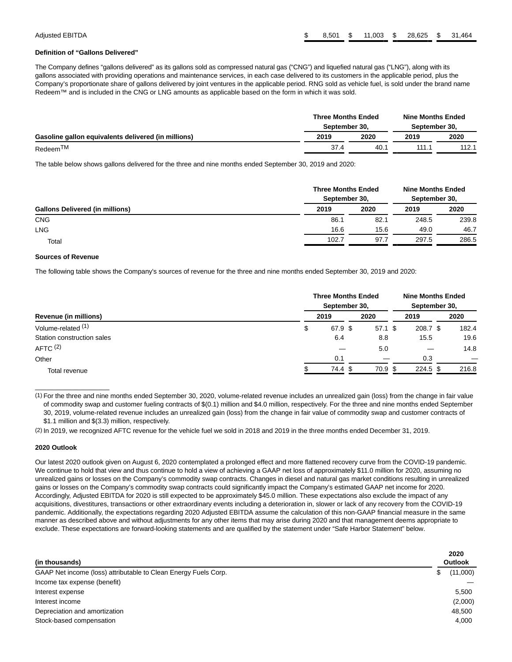#### **Definition of "Gallons Delivered"**

The Company defines "gallons delivered" as its gallons sold as compressed natural gas ("CNG") and liquefied natural gas ("LNG"), along with its gallons associated with providing operations and maintenance services, in each case delivered to its customers in the applicable period, plus the Company's proportionate share of gallons delivered by joint ventures in the applicable period. RNG sold as vehicle fuel, is sold under the brand name Redeem™ and is included in the CNG or LNG amounts as applicable based on the form in which it was sold.

|                                                     | <b>Three Months Ended</b><br>September 30. |      | <b>Nine Months Ended</b><br>September 30. |       |  |
|-----------------------------------------------------|--------------------------------------------|------|-------------------------------------------|-------|--|
| Gasoline gallon equivalents delivered (in millions) |                                            | 2020 | 2019                                      | 2020  |  |
| Redeem <sup>TM</sup>                                | 37.4                                       | 40.1 | 111.1                                     | 112.1 |  |

The table below shows gallons delivered for the three and nine months ended September 30, 2019 and 2020:

|                                        | <b>Three Months Ended</b><br>September 30. |      | <b>Nine Months Ended</b><br>September 30, |       |  |
|----------------------------------------|--------------------------------------------|------|-------------------------------------------|-------|--|
| <b>Gallons Delivered (in millions)</b> |                                            | 2020 | 2019                                      | 2020  |  |
| <b>CNG</b>                             | 86.1                                       | 82.1 | 248.5                                     | 239.8 |  |
| <b>LNG</b>                             | 16.6                                       | 15.6 | 49.0                                      | 46.7  |  |
| Total                                  | 102.7                                      | 97.7 | 297.5                                     | 286.5 |  |

#### **Sources of Revenue**

The following table shows the Company's sources of revenue for the three and nine months ended September 30, 2019 and 2020:

| Revenue (in millions)      |  | <b>Three Months Ended</b><br>September 30, |           | <b>Nine Months Ended</b><br>September 30, |            |       |  |
|----------------------------|--|--------------------------------------------|-----------|-------------------------------------------|------------|-------|--|
|                            |  | 2019                                       | 2020      |                                           | 2019       | 2020  |  |
| Volume-related (1)         |  | 67.9 \$                                    | $57.1$ \$ |                                           | 208.7 \$   | 182.4 |  |
| Station construction sales |  | 6.4                                        | 8.8       |                                           | 15.5       | 19.6  |  |
| AFTC $(2)$                 |  |                                            | 5.0       |                                           |            | 14.8  |  |
| Other                      |  | 0.1                                        |           |                                           | 0.3        |       |  |
| Total revenue              |  | 74.4 \$                                    | 70.9 \$   |                                           | $224.5$ \$ | 216.8 |  |

(1) For the three and nine months ended September 30, 2020, volume-related revenue includes an unrealized gain (loss) from the change in fair value of commodity swap and customer fueling contracts of \$(0.1) million and \$4.0 million, respectively. For the three and nine months ended September 30, 2019, volume-related revenue includes an unrealized gain (loss) from the change in fair value of commodity swap and customer contracts of \$1.1 million and \$(3.3) million, respectively.

(2) In 2019, we recognized AFTC revenue for the vehicle fuel we sold in 2018 and 2019 in the three months ended December 31, 2019.

#### **2020 Outlook**

 $\overline{\phantom{a}}$  , where  $\overline{\phantom{a}}$  , where  $\overline{\phantom{a}}$ 

Our latest 2020 outlook given on August 6, 2020 contemplated a prolonged effect and more flattened recovery curve from the COVID-19 pandemic. We continue to hold that view and thus continue to hold a view of achieving a GAAP net loss of approximately \$11.0 million for 2020, assuming no unrealized gains or losses on the Company's commodity swap contracts. Changes in diesel and natural gas market conditions resulting in unrealized gains or losses on the Company's commodity swap contracts could significantly impact the Company's estimated GAAP net income for 2020. Accordingly, Adjusted EBITDA for 2020 is still expected to be approximately \$45.0 million. These expectations also exclude the impact of any acquisitions, divestitures, transactions or other extraordinary events including a deterioration in, slower or lack of any recovery from the COVID-19 pandemic. Additionally, the expectations regarding 2020 Adjusted EBITDA assume the calculation of this non-GAAP financial measure in the same manner as described above and without adjustments for any other items that may arise during 2020 and that management deems appropriate to exclude. These expectations are forward-looking statements and are qualified by the statement under "Safe Harbor Statement" below.

| (in thousands)                                                  | 2020<br>Outlook |
|-----------------------------------------------------------------|-----------------|
| GAAP Net income (loss) attributable to Clean Energy Fuels Corp. | (11,000)<br>\$  |
| Income tax expense (benefit)                                    |                 |
| Interest expense                                                | 5.500           |
| Interest income                                                 | (2,000)         |
| Depreciation and amortization                                   | 48.500          |
| Stock-based compensation                                        | 4,000           |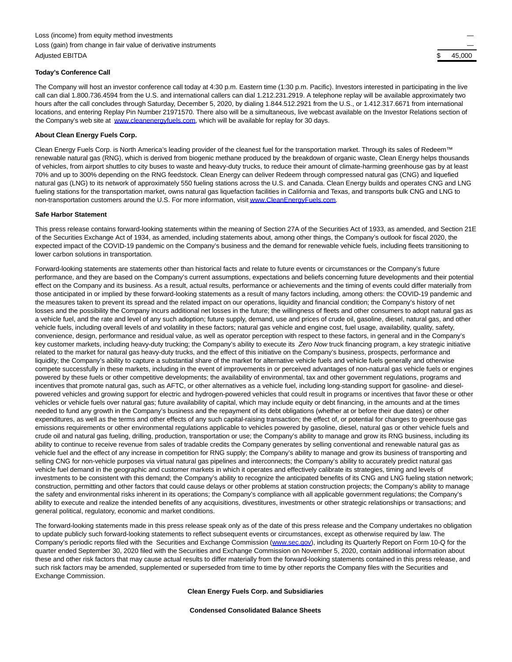#### **Today's Conference Call**

The Company will host an investor conference call today at 4:30 p.m. Eastern time (1:30 p.m. Pacific). Investors interested in participating in the live call can dial 1.800.736.4594 from the U.S. and international callers can dial 1.212.231.2919. A telephone replay will be available approximately two hours after the call concludes through Saturday, December 5, 2020, by dialing 1.844.512.2921 from the U.S., or 1.412.317.6671 from international locations, and entering Replay Pin Number 21971570. There also will be a simultaneous, live webcast available on the Investor Relations section of the Company's web site at [www.cleanenergyfuels.com,](https://cts.businesswire.com/ct/CT?id=smartlink&url=http%3A%2F%2Fwww.cleanenergyfuels.com&esheet=52320634&newsitemid=20201105005933&lan=en-US&anchor=www.cleanenergyfuels.com&index=1&md5=a8ea80eeb4009baafdd77e4215219b2c) which will be available for replay for 30 days.

#### **About Clean Energy Fuels Corp.**

Clean Energy Fuels Corp. is North America's leading provider of the cleanest fuel for the transportation market. Through its sales of Redeem™ renewable natural gas (RNG), which is derived from biogenic methane produced by the breakdown of organic waste, Clean Energy helps thousands of vehicles, from airport shuttles to city buses to waste and heavy-duty trucks, to reduce their amount of climate-harming greenhouse gas by at least 70% and up to 300% depending on the RNG feedstock. Clean Energy can deliver Redeem through compressed natural gas (CNG) and liquefied natural gas (LNG) to its network of approximately 550 fueling stations across the U.S. and Canada. Clean Energy builds and operates CNG and LNG fueling stations for the transportation market, owns natural gas liquefaction facilities in California and Texas, and transports bulk CNG and LNG to non-transportation customers around the U.S. For more information, visi[t www.CleanEnergyFuels.com.](https://cts.businesswire.com/ct/CT?id=smartlink&url=http%3A%2F%2Fwww.CleanEnergyFuels.com&esheet=52320634&newsitemid=20201105005933&lan=en-US&anchor=www.CleanEnergyFuels.com&index=2&md5=659dae431c8c3a4df4e4796d20a8a89b)

#### **Safe Harbor Statement**

This press release contains forward-looking statements within the meaning of Section 27A of the Securities Act of 1933, as amended, and Section 21E of the Securities Exchange Act of 1934, as amended, including statements about, among other things, the Company's outlook for fiscal 2020, the expected impact of the COVID-19 pandemic on the Company's business and the demand for renewable vehicle fuels, including fleets transitioning to lower carbon solutions in transportation.

Forward-looking statements are statements other than historical facts and relate to future events or circumstances or the Company's future performance, and they are based on the Company's current assumptions, expectations and beliefs concerning future developments and their potential effect on the Company and its business. As a result, actual results, performance or achievements and the timing of events could differ materially from those anticipated in or implied by these forward-looking statements as a result of many factors including, among others: the COVID-19 pandemic and the measures taken to prevent its spread and the related impact on our operations, liquidity and financial condition; the Company's history of net losses and the possibility the Company incurs additional net losses in the future; the willingness of fleets and other consumers to adopt natural gas as a vehicle fuel, and the rate and level of any such adoption; future supply, demand, use and prices of crude oil, gasoline, diesel, natural gas, and other vehicle fuels, including overall levels of and volatility in these factors; natural gas vehicle and engine cost, fuel usage, availability, quality, safety, convenience, design, performance and residual value, as well as operator perception with respect to these factors, in general and in the Company's key customer markets, including heavy-duty trucking; the Company's ability to execute its Zero Now truck financing program, a key strategic initiative related to the market for natural gas heavy-duty trucks, and the effect of this initiative on the Company's business, prospects, performance and liquidity; the Company's ability to capture a substantial share of the market for alternative vehicle fuels and vehicle fuels generally and otherwise compete successfully in these markets, including in the event of improvements in or perceived advantages of non-natural gas vehicle fuels or engines powered by these fuels or other competitive developments; the availability of environmental, tax and other government regulations, programs and incentives that promote natural gas, such as AFTC, or other alternatives as a vehicle fuel, including long-standing support for gasoline- and dieselpowered vehicles and growing support for electric and hydrogen-powered vehicles that could result in programs or incentives that favor these or other vehicles or vehicle fuels over natural gas; future availability of capital, which may include equity or debt financing, in the amounts and at the times needed to fund any growth in the Company's business and the repayment of its debt obligations (whether at or before their due dates) or other expenditures, as well as the terms and other effects of any such capital-raising transaction; the effect of, or potential for changes to greenhouse gas emissions requirements or other environmental regulations applicable to vehicles powered by gasoline, diesel, natural gas or other vehicle fuels and crude oil and natural gas fueling, drilling, production, transportation or use; the Company's ability to manage and grow its RNG business, including its ability to continue to receive revenue from sales of tradable credits the Company generates by selling conventional and renewable natural gas as vehicle fuel and the effect of any increase in competition for RNG supply; the Company's ability to manage and grow its business of transporting and selling CNG for non-vehicle purposes via virtual natural gas pipelines and interconnects; the Company's ability to accurately predict natural gas vehicle fuel demand in the geographic and customer markets in which it operates and effectively calibrate its strategies, timing and levels of investments to be consistent with this demand; the Company's ability to recognize the anticipated benefits of its CNG and LNG fueling station network; construction, permitting and other factors that could cause delays or other problems at station construction projects; the Company's ability to manage the safety and environmental risks inherent in its operations; the Company's compliance with all applicable government regulations; the Company's ability to execute and realize the intended benefits of any acquisitions, divestitures, investments or other strategic relationships or transactions; and general political, regulatory, economic and market conditions.

The forward-looking statements made in this press release speak only as of the date of this press release and the Company undertakes no obligation to update publicly such forward-looking statements to reflect subsequent events or circumstances, except as otherwise required by law. The Company's periodic reports filed with the Securities and Exchange Commission [\(www.sec.gov\),](https://cts.businesswire.com/ct/CT?id=smartlink&url=http%3A%2F%2Fwww.sec.gov&esheet=52320634&newsitemid=20201105005933&lan=en-US&anchor=www.sec.gov&index=3&md5=914f1adfadc4d6f42d9d190631e7596a) including its Quarterly Report on Form 10-Q for the quarter ended September 30, 2020 filed with the Securities and Exchange Commission on November 5, 2020, contain additional information about these and other risk factors that may cause actual results to differ materially from the forward-looking statements contained in this press release, and such risk factors may be amended, supplemented or superseded from time to time by other reports the Company files with the Securities and Exchange Commission.

#### **Clean Energy Fuels Corp. and Subsidiaries**

**Condensed Consolidated Balance Sheets**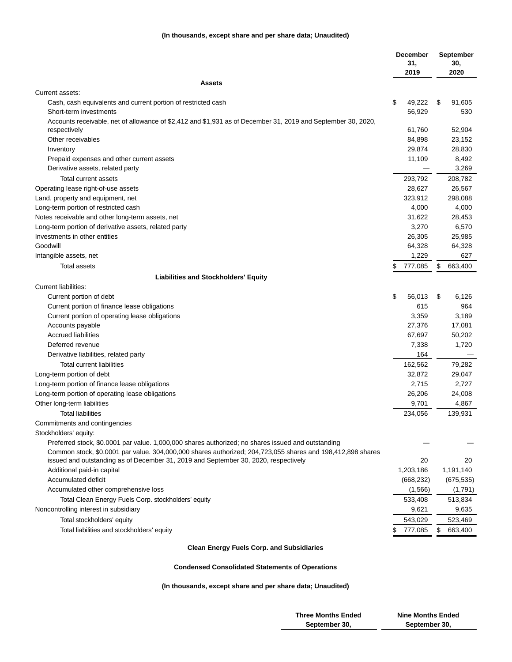### **(In thousands, except share and per share data; Unaudited)**

|                                                                                                              | <b>December</b><br>31,<br>2019 | <b>September</b><br>30,<br>2020 |
|--------------------------------------------------------------------------------------------------------------|--------------------------------|---------------------------------|
| <b>Assets</b>                                                                                                |                                |                                 |
| Current assets:                                                                                              |                                |                                 |
| Cash, cash equivalents and current portion of restricted cash                                                | \$<br>49,222                   | \$<br>91,605                    |
| Short-term investments                                                                                       | 56,929                         | 530                             |
| Accounts receivable, net of allowance of \$2,412 and \$1,931 as of December 31, 2019 and September 30, 2020, |                                |                                 |
| respectively                                                                                                 | 61,760                         | 52,904                          |
| Other receivables                                                                                            | 84,898                         | 23,152                          |
| Inventory                                                                                                    | 29,874                         | 28,830                          |
| Prepaid expenses and other current assets                                                                    | 11,109                         | 8,492                           |
| Derivative assets, related party                                                                             |                                | 3,269                           |
| Total current assets                                                                                         | 293,792                        | 208,782                         |
| Operating lease right-of-use assets                                                                          | 28,627                         | 26,567                          |
| Land, property and equipment, net                                                                            | 323,912                        | 298,088                         |
| Long-term portion of restricted cash                                                                         | 4,000                          | 4,000                           |
| Notes receivable and other long-term assets, net                                                             | 31,622                         | 28,453                          |
| Long-term portion of derivative assets, related party                                                        | 3,270                          | 6,570                           |
| Investments in other entities                                                                                | 26,305                         | 25,985                          |
| Goodwill                                                                                                     | 64,328                         | 64,328                          |
| Intangible assets, net                                                                                       | 1,229                          | 627                             |
| Total assets                                                                                                 | 777,085                        | \$<br>663,400                   |
| <b>Liabilities and Stockholders' Equity</b>                                                                  |                                |                                 |
| Current liabilities:                                                                                         |                                |                                 |
| Current portion of debt                                                                                      | \$<br>56,013                   | \$<br>6,126                     |
| Current portion of finance lease obligations                                                                 | 615                            | 964                             |
| Current portion of operating lease obligations                                                               | 3,359                          | 3,189                           |
| Accounts payable                                                                                             | 27,376                         | 17,081                          |
| <b>Accrued liabilities</b>                                                                                   | 67,697                         | 50,202                          |
| Deferred revenue                                                                                             | 7,338                          | 1,720                           |
| Derivative liabilities, related party                                                                        | 164                            |                                 |
| <b>Total current liabilities</b>                                                                             | 162,562                        | 79,282                          |
| Long-term portion of debt                                                                                    | 32,872                         | 29,047                          |
| Long-term portion of finance lease obligations                                                               | 2,715                          | 2,727                           |
| Long-term portion of operating lease obligations                                                             | 26,206                         | 24,008                          |
| Other long-term liabilities                                                                                  | 9,701                          | 4,867                           |
| <b>Total liabilities</b>                                                                                     | 234,056                        | 139,931                         |
| Commitments and contingencies                                                                                |                                |                                 |
| Stockholders' equity:                                                                                        |                                |                                 |
| Preferred stock, \$0.0001 par value. 1,000,000 shares authorized; no shares issued and outstanding           |                                |                                 |
| Common stock, \$0.0001 par value. 304,000,000 shares authorized; 204,723,055 shares and 198,412,898 shares   |                                |                                 |
| issued and outstanding as of December 31, 2019 and September 30, 2020, respectively                          | 20                             | 20                              |
| Additional paid-in capital                                                                                   | 1,203,186                      | 1,191,140                       |
| Accumulated deficit                                                                                          | (668, 232)                     | (675, 535)                      |
| Accumulated other comprehensive loss                                                                         | (1,566)                        | (1,791)                         |
| Total Clean Energy Fuels Corp. stockholders' equity                                                          | 533,408                        | 513,834                         |
| Noncontrolling interest in subsidiary                                                                        | 9,621                          | 9,635                           |
| Total stockholders' equity                                                                                   | 543,029                        | 523,469                         |
| Total liabilities and stockholders' equity                                                                   | 777,085<br>\$                  | \$<br>663,400                   |
|                                                                                                              |                                |                                 |

# **Clean Energy Fuels Corp. and Subsidiaries**

## **Condensed Consolidated Statements of Operations**

**(In thousands, except share and per share data; Unaudited)**

| <b>Three Months Ended</b> | <b>Nine Months Ended</b> |
|---------------------------|--------------------------|
| September 30,             | September 30,            |